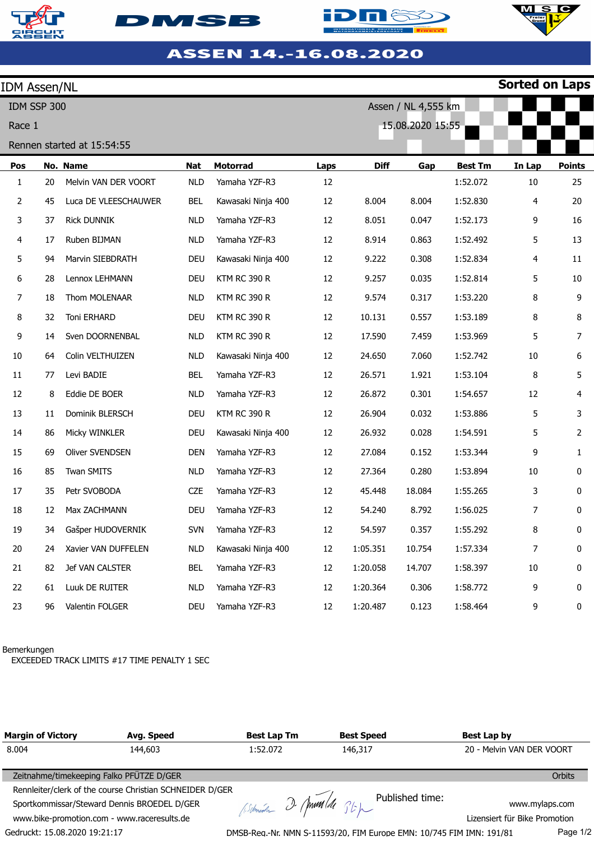







## ASSEN 14.-16.08.2020

| <b>IDM Assen/NL</b>                |    |                      |            |                     |      |             |        |                | <b>Sorted on Laps</b> |               |
|------------------------------------|----|----------------------|------------|---------------------|------|-------------|--------|----------------|-----------------------|---------------|
| Assen / NL 4,555 km<br>IDM SSP 300 |    |                      |            |                     |      |             |        |                |                       |               |
| 15.08.2020 15:55<br>Race 1         |    |                      |            |                     |      |             |        |                |                       |               |
| Rennen started at 15:54:55         |    |                      |            |                     |      |             |        |                |                       |               |
| Pos                                |    | No. Name             | <b>Nat</b> | <b>Motorrad</b>     | Laps | <b>Diff</b> | Gap    | <b>Best Tm</b> | In Lap                | <b>Points</b> |
| $\mathbf{1}$                       | 20 | Melvin VAN DER VOORT | <b>NLD</b> | Yamaha YZF-R3       | 12   |             |        | 1:52.072       | 10                    | 25            |
| $\overline{2}$                     | 45 | Luca DE VLEESCHAUWER | <b>BEL</b> | Kawasaki Ninja 400  | 12   | 8.004       | 8.004  | 1:52.830       | 4                     | 20            |
| 3                                  | 37 | <b>Rick DUNNIK</b>   | <b>NLD</b> | Yamaha YZF-R3       | 12   | 8.051       | 0.047  | 1:52.173       | 9                     | 16            |
| 4                                  | 17 | Ruben BIJMAN         | <b>NLD</b> | Yamaha YZF-R3       | 12   | 8.914       | 0.863  | 1:52.492       | 5                     | 13            |
| 5                                  | 94 | Marvin SIEBDRATH     | <b>DEU</b> | Kawasaki Ninja 400  | 12   | 9.222       | 0.308  | 1:52.834       | 4                     | 11            |
| 6                                  | 28 | Lennox LEHMANN       | DEU        | <b>KTM RC 390 R</b> | 12   | 9.257       | 0.035  | 1:52.814       | 5                     | 10            |
| 7                                  | 18 | Thom MOLENAAR        | <b>NLD</b> | <b>KTM RC 390 R</b> | 12   | 9.574       | 0.317  | 1:53.220       | 8                     | 9             |
| 8                                  | 32 | Toni ERHARD          | <b>DEU</b> | <b>KTM RC 390 R</b> | 12   | 10.131      | 0.557  | 1:53.189       | 8                     | 8             |
| 9                                  | 14 | Sven DOORNENBAL      | <b>NLD</b> | <b>KTM RC 390 R</b> | 12   | 17.590      | 7.459  | 1:53.969       | 5                     | 7             |
| 10                                 | 64 | Colin VELTHUIZEN     | <b>NLD</b> | Kawasaki Ninja 400  | 12   | 24.650      | 7.060  | 1:52.742       | 10                    | 6             |
| 11                                 | 77 | Levi BADIE           | <b>BEL</b> | Yamaha YZF-R3       | 12   | 26.571      | 1.921  | 1:53.104       | 8                     | 5             |
| 12                                 | 8  | Eddie DE BOER        | <b>NLD</b> | Yamaha YZF-R3       | 12   | 26.872      | 0.301  | 1:54.657       | 12                    | 4             |
| 13                                 | 11 | Dominik BLERSCH      | <b>DEU</b> | <b>KTM RC 390 R</b> | 12   | 26.904      | 0.032  | 1:53.886       | 5                     | 3             |
| 14                                 | 86 | Micky WINKLER        | <b>DEU</b> | Kawasaki Ninja 400  | 12   | 26.932      | 0.028  | 1:54.591       | 5                     | 2             |
| 15                                 | 69 | Oliver SVENDSEN      | <b>DEN</b> | Yamaha YZF-R3       | 12   | 27.084      | 0.152  | 1:53.344       | 9                     | 1             |
| 16                                 | 85 | Twan SMITS           | <b>NLD</b> | Yamaha YZF-R3       | 12   | 27.364      | 0.280  | 1:53.894       | 10                    | 0             |
| 17                                 | 35 | Petr SVOBODA         | <b>CZE</b> | Yamaha YZF-R3       | 12   | 45.448      | 18.084 | 1:55.265       | 3                     | 0             |
| 18                                 | 12 | Max ZACHMANN         | <b>DEU</b> | Yamaha YZF-R3       | 12   | 54.240      | 8.792  | 1:56.025       | $\overline{7}$        | 0             |
| 19                                 | 34 | Gašper HUDOVERNIK    | <b>SVN</b> | Yamaha YZF-R3       | 12   | 54.597      | 0.357  | 1:55.292       | 8                     | 0             |
| 20                                 | 24 | Xavier VAN DUFFELEN  | <b>NLD</b> | Kawasaki Ninja 400  | 12   | 1:05.351    | 10.754 | 1:57.334       | 7                     | 0             |
| 21                                 | 82 | Jef VAN CALSTER      | <b>BEL</b> | Yamaha YZF-R3       | 12   | 1:20.058    | 14.707 | 1:58.397       | $10\,$                | 0             |
| 22                                 | 61 | Luuk DE RUITER       | <b>NLD</b> | Yamaha YZF-R3       | 12   | 1:20.364    | 0.306  | 1:58.772       | 9                     | 0             |
| 23                                 | 96 | Valentin FOLGER      | <b>DEU</b> | Yamaha YZF-R3       | 12   | 1:20.487    | 0.123  | 1:58.464       | 9                     | 0             |

## Bemerkungen

EXCEEDED TRACK LIMITS #17 TIME PENALTY 1 SEC

| <b>Margin of Victory</b>                    | Avg. Speed                                               | <b>Best Lap Tm</b> | <b>Best Speed</b>                                                    | Best Lap by                   |
|---------------------------------------------|----------------------------------------------------------|--------------------|----------------------------------------------------------------------|-------------------------------|
| 8.004                                       | 144,603                                                  | 1:52.072           | 146,317                                                              | 20 - Melvin VAN DER VOORT     |
| Zeitnahme/timekeeping Falko PFÜTZE D/GER    |                                                          |                    |                                                                      | <b>Orbits</b>                 |
|                                             | Rennleiter/clerk of the course Christian SCHNEIDER D/GER |                    |                                                                      |                               |
|                                             | Sportkommissar/Steward Dennis BROEDEL D/GER              |                    | Astmedia 2 Ann de 36 pm Published time:                              | www.mylaps.com                |
| www.bike-promotion.com - www.raceresults.de |                                                          |                    |                                                                      | Lizensiert für Bike Promotion |
| Gedruckt: 15.08.2020 19:21:17               |                                                          |                    | DMSB-Reg.-Nr. NMN S-11593/20, FIM Europe EMN: 10/745 FIM IMN: 191/81 | Page 1/2                      |

DMSB-Reg.-Nr. NMN S-11593/20, FIM Europe EMN: 10/745 FIM IMN: 191/81

Page 1/2